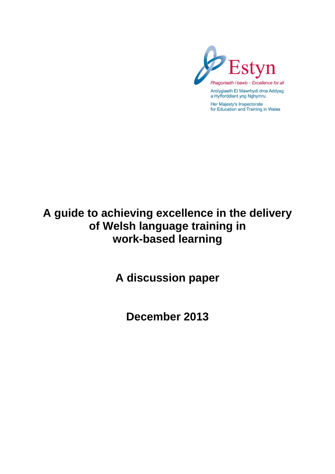

Her Majesty's Inspectorate for Education and Training in Wales

# **A guide to achieving excellence in the delivery of Welsh language training in work-based learning**

**A discussion paper**

**December 2013**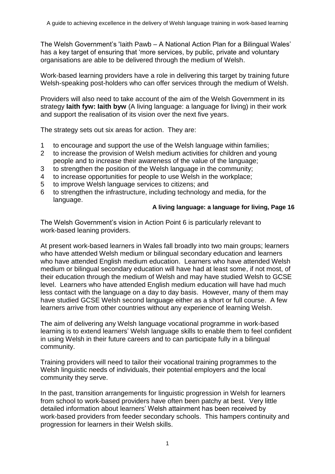The Welsh Government's 'Iaith Pawb – A National Action Plan for a Bilingual Wales' has a key target of ensuring that 'more services, by public, private and voluntary organisations are able to be delivered through the medium of Welsh.

Work-based learning providers have a role in delivering this target by training future Welsh-speaking post-holders who can offer services through the medium of Welsh.

Providers will also need to take account of the aim of the Welsh Government in its strategy **Iaith fyw: Iaith byw** (A living language: a language for living) in their work and support the realisation of its vision over the next five years.

The strategy sets out six areas for action. They are:

- 1 to encourage and support the use of the Welsh language within families;
- 2 to increase the provision of Welsh medium activities for children and young people and to increase their awareness of the value of the language;
- 3 to strengthen the position of the Welsh language in the community;
- 4 to increase opportunities for people to use Welsh in the workplace;
- 5 to improve Welsh language services to citizens; and
- 6 to strengthen the infrastructure, including technology and media, for the language.

#### **A living language: a language for living, Page 16**

The Welsh Government's vision in Action Point 6 is particularly relevant to work-based leaning providers.

At present work-based learners in Wales fall broadly into two main groups; learners who have attended Welsh medium or bilingual secondary education and learners who have attended English medium education. Learners who have attended Welsh medium or bilingual secondary education will have had at least some, if not most, of their education through the medium of Welsh and may have studied Welsh to GCSE level. Learners who have attended English medium education will have had much less contact with the language on a day to day basis. However, many of them may have studied GCSE Welsh second language either as a short or full course. A few learners arrive from other countries without any experience of learning Welsh.

The aim of delivering any Welsh language vocational programme in work-based learning is to extend learners' Welsh language skills to enable them to feel confident in using Welsh in their future careers and to can participate fully in a bilingual community.

Training providers will need to tailor their vocational training programmes to the Welsh linguistic needs of individuals, their potential employers and the local community they serve.

In the past, transition arrangements for linguistic progression in Welsh for learners from school to work-based providers have often been patchy at best. Very little detailed information about learners' Welsh attainment has been received by work-based providers from feeder secondary schools. This hampers continuity and progression for learners in their Welsh skills.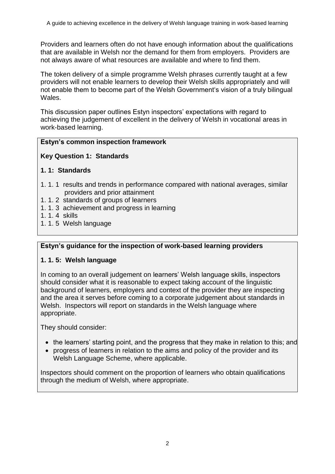Providers and learners often do not have enough information about the qualifications that are available in Welsh nor the demand for them from employers. Providers are not always aware of what resources are available and where to find them.

The token delivery of a simple programme Welsh phrases currently taught at a few providers will not enable learners to develop their Welsh skills appropriately and will not enable them to become part of the Welsh Government's vision of a truly bilingual Wales.

This discussion paper outlines Estyn inspectors' expectations with regard to achieving the judgement of excellent in the delivery of Welsh in vocational areas in work-based learning.

### **Estyn's common inspection framework**

### **Key Question 1: Standards**

### **1. 1: Standards**

- 1. 1. 1 results and trends in performance compared with national averages, similar providers and prior attainment
- 1. 1. 2 standards of groups of learners
- 1. 1. 3 achievement and progress in learning
- 1. 1. 4 skills
- 1. 1. 5 Welsh language

# **Estyn's guidance for the inspection of work-based learning providers**

# **1. 1. 5: Welsh language**

In coming to an overall judgement on learners' Welsh language skills, inspectors should consider what it is reasonable to expect taking account of the linguistic background of learners, employers and context of the provider they are inspecting and the area it serves before coming to a corporate judgement about standards in Welsh. Inspectors will report on standards in the Welsh language where appropriate.

They should consider:

- the learners' starting point, and the progress that they make in relation to this; and
- progress of learners in relation to the aims and policy of the provider and its Welsh Language Scheme, where applicable.

Inspectors should comment on the proportion of learners who obtain qualifications through the medium of Welsh, where appropriate.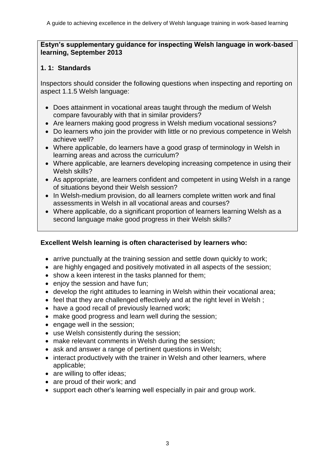**Estyn's supplementary guidance for inspecting Welsh language in work-based learning, September 2013**

## **1. 1: Standards**

Inspectors should consider the following questions when inspecting and reporting on aspect 1.1.5 Welsh language:

- Does attainment in vocational areas taught through the medium of Welsh compare favourably with that in similar providers?
- Are learners making good progress in Welsh medium vocational sessions?
- Do learners who join the provider with little or no previous competence in Welsh achieve well?
- Where applicable, do learners have a good grasp of terminology in Welsh in learning areas and across the curriculum?
- Where applicable, are learners developing increasing competence in using their Welsh skills?
- As appropriate, are learners confident and competent in using Welsh in a range of situations beyond their Welsh session?
- In Welsh-medium provision, do all learners complete written work and final assessments in Welsh in all vocational areas and courses?
- Where applicable, do a significant proportion of learners learning Welsh as a second language make good progress in their Welsh skills?

# **Excellent Welsh learning is often characterised by learners who:**

- arrive punctually at the training session and settle down quickly to work;
- are highly engaged and positively motivated in all aspects of the session;
- show a keen interest in the tasks planned for them;
- enjoy the session and have fun:
- develop the right attitudes to learning in Welsh within their vocational area;
- feel that they are challenged effectively and at the right level in Welsh;
- have a good recall of previously learned work;
- make good progress and learn well during the session;
- engage well in the session;
- use Welsh consistently during the session;
- make relevant comments in Welsh during the session;
- ask and answer a range of pertinent questions in Welsh;
- interact productively with the trainer in Welsh and other learners, where applicable;
- are willing to offer ideas;
- are proud of their work; and
- support each other's learning well especially in pair and group work.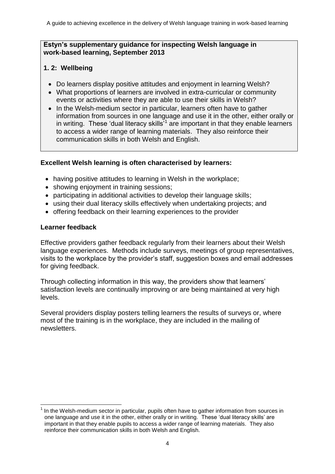## **Estyn's supplementary guidance for inspecting Welsh language in work-based learning, September 2013**

# **1. 2: Wellbeing**

- Do learners display positive attitudes and enjoyment in learning Welsh?
- What proportions of learners are involved in extra-curricular or community events or activities where they are able to use their skills in Welsh?
- In the Welsh-medium sector in particular, learners often have to gather information from sources in one language and use it in the other, either orally or in writing. These 'dual literacy skills<sup>'1</sup> are important in that they enable learners to access a wider range of learning materials. They also reinforce their communication skills in both Welsh and English.

# **Excellent Welsh learning is often characterised by learners:**

- having positive attitudes to learning in Welsh in the workplace;
- showing enjoyment in training sessions;
- participating in additional activities to develop their language skills:
- using their dual literacy skills effectively when undertaking projects; and
- offering feedback on their learning experiences to the provider

# **Learner feedback**

Effective providers gather feedback regularly from their learners about their Welsh language experiences. Methods include surveys, meetings of group representatives, visits to the workplace by the provider's staff, suggestion boxes and email addresses for giving feedback.

Through collecting information in this way, the providers show that learners' satisfaction levels are continually improving or are being maintained at very high levels.

Several providers display posters telling learners the results of surveys or, where most of the training is in the workplace, they are included in the mailing of newsletters.

**<sup>.</sup>** 1 In the Welsh-medium sector in particular, pupils often have to gather information from sources in one language and use it in the other, either orally or in writing. These 'dual literacy skills' are important in that they enable pupils to access a wider range of learning materials. They also reinforce their communication skills in both Welsh and English.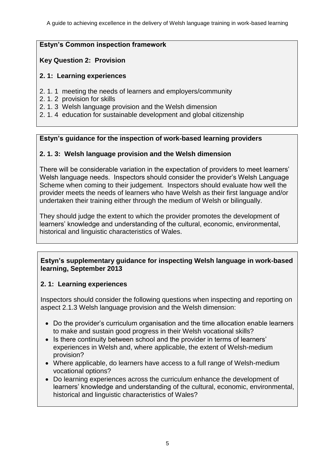#### **Estyn's Common inspection framework**

## **Key Question 2: Provision**

## **2. 1: Learning experiences**

- 2. 1. 1 meeting the needs of learners and employers/community
- 2. 1. 2 provision for skills
- 2. 1. 3 Welsh language provision and the Welsh dimension
- 2. 1. 4 education for sustainable development and global citizenship

# **Estyn's guidance for the inspection of work-based learning providers**

# **2. 1. 3: Welsh language provision and the Welsh dimension**

There will be considerable variation in the expectation of providers to meet learners' Welsh language needs. Inspectors should consider the provider's Welsh Language Scheme when coming to their judgement. Inspectors should evaluate how well the provider meets the needs of learners who have Welsh as their first language and/or undertaken their training either through the medium of Welsh or bilingually.

They should judge the extent to which the provider promotes the development of learners' knowledge and understanding of the cultural, economic, environmental, historical and linguistic characteristics of Wales.

### **Estyn's supplementary guidance for inspecting Welsh language in work-based learning, September 2013**

# **2. 1: Learning experiences**

Inspectors should consider the following questions when inspecting and reporting on aspect 2.1.3 Welsh language provision and the Welsh dimension:

- Do the provider's curriculum organisation and the time allocation enable learners to make and sustain good progress in their Welsh vocational skills?
- Is there continuity between school and the provider in terms of learners' experiences in Welsh and, where applicable, the extent of Welsh-medium provision?
- Where applicable, do learners have access to a full range of Welsh-medium vocational options?
- Do learning experiences across the curriculum enhance the development of learners' knowledge and understanding of the cultural, economic, environmental, historical and linguistic characteristics of Wales?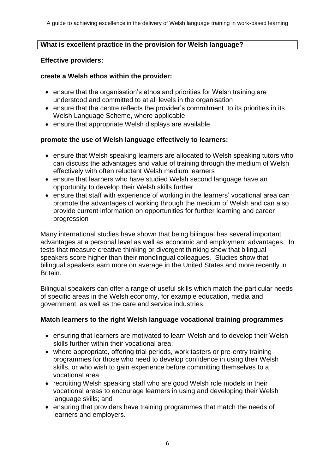#### **What is excellent practice in the provision for Welsh language?**

### **Effective providers:**

### **create a Welsh ethos within the provider:**

- ensure that the organisation's ethos and priorities for Welsh training are understood and committed to at all levels in the organisation
- ensure that the centre reflects the provider's commitment to its priorities in its Welsh Language Scheme, where applicable
- ensure that appropriate Welsh displays are available

# **promote the use of Welsh language effectively to learners:**

- ensure that Welsh speaking learners are allocated to Welsh speaking tutors who can discuss the advantages and value of training through the medium of Welsh effectively with often reluctant Welsh medium learners
- ensure that learners who have studied Welsh second language have an opportunity to develop their Welsh skills further
- ensure that staff with experience of working in the learners' vocational area can promote the advantages of working through the medium of Welsh and can also provide current information on opportunities for further learning and career progression

Many international studies have shown that being bilingual has several important advantages at a personal level as well as economic and employment advantages. In tests that measure creative thinking or divergent thinking show that bilingual speakers score higher than their monolingual colleagues. Studies show that bilingual speakers earn more on average in the United States and more recently in Britain.

Bilingual speakers can offer a range of useful skills which match the particular needs of specific areas in the Welsh economy, for example education, media and government, as well as the care and service industries.

# **Match learners to the right Welsh language vocational training programmes**

- ensuring that learners are motivated to learn Welsh and to develop their Welsh skills further within their vocational area;
- where appropriate, offering trial periods, work tasters or pre-entry training programmes for those who need to develop confidence in using their Welsh skills, or who wish to gain experience before committing themselves to a vocational area
- recruiting Welsh speaking staff who are good Welsh role models in their vocational areas to encourage learners in using and developing their Welsh language skills; and
- ensuring that providers have training programmes that match the needs of learners and employers.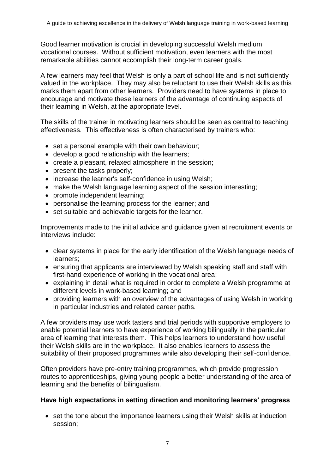Good learner motivation is crucial in developing successful Welsh medium vocational courses. Without sufficient motivation, even learners with the most remarkable abilities cannot accomplish their long-term career goals.

A few learners may feel that Welsh is only a part of school life and is not sufficiently valued in the workplace. They may also be reluctant to use their Welsh skills as this marks them apart from other learners. Providers need to have systems in place to encourage and motivate these learners of the advantage of continuing aspects of their learning in Welsh, at the appropriate level.

The skills of the trainer in motivating learners should be seen as central to teaching effectiveness. This effectiveness is often characterised by trainers who:

- set a personal example with their own behaviour;
- develop a good relationship with the learners;
- create a pleasant, relaxed atmosphere in the session;
- present the tasks properly;
- increase the learner's self-confidence in using Welsh;
- make the Welsh language learning aspect of the session interesting;
- promote independent learning;
- personalise the learning process for the learner; and
- set suitable and achievable targets for the learner.

Improvements made to the initial advice and guidance given at recruitment events or interviews include:

- clear systems in place for the early identification of the Welsh language needs of learners;
- ensuring that applicants are interviewed by Welsh speaking staff and staff with first-hand experience of working in the vocational area;
- explaining in detail what is required in order to complete a Welsh programme at different levels in work-based learning; and
- providing learners with an overview of the advantages of using Welsh in working in particular industries and related career paths.

A few providers may use work tasters and trial periods with supportive employers to enable potential learners to have experience of working bilingually in the particular area of learning that interests them. This helps learners to understand how useful their Welsh skills are in the workplace. It also enables learners to assess the suitability of their proposed programmes while also developing their self-confidence.

Often providers have pre-entry training programmes, which provide progression routes to apprenticeships, giving young people a better understanding of the area of learning and the benefits of bilingualism.

# **Have high expectations in setting direction and monitoring learners' progress**

• set the tone about the importance learners using their Welsh skills at induction session;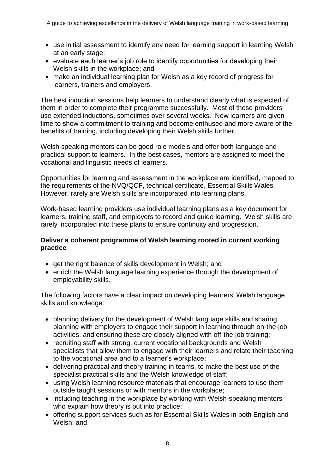- use initial assessment to identify any need for learning support in learning Welsh at an early stage;
- evaluate each learner's job role to identify opportunities for developing their Welsh skills in the workplace; and
- make an individual learning plan for Welsh as a key record of progress for learners, trainers and employers.

The best induction sessions help learners to understand clearly what is expected of them in order to complete their programme successfully. Most of these providers use extended inductions, sometimes over several weeks. New learners are given time to show a commitment to training and become enthused and more aware of the benefits of training, including developing their Welsh skills further.

Welsh speaking mentors can be good role models and offer both language and practical support to learners. In the best cases, mentors are assigned to meet the vocational and linguistic needs of learners.

Opportunities for learning and assessment in the workplace are identified, mapped to the requirements of the NVQ/QCF, technical certificate, Essential Skills Wales. However, rarely are Welsh skills are incorporated into learning plans.

Work-based learning providers use individual learning plans as a key document for learners, training staff, and employers to record and guide learning. Welsh skills are rarely incorporated into these plans to ensure continuity and progression.

#### **Deliver a coherent programme of Welsh learning rooted in current working practice**

- get the right balance of skills development in Welsh; and
- enrich the Welsh language learning experience through the development of employability skills.

The following factors have a clear impact on developing learners' Welsh language skills and knowledge:

- planning delivery for the development of Welsh language skills and sharing planning with employers to engage their support in learning through on-the-job activities, and ensuring these are closely aligned with off-the-job training;
- recruiting staff with strong, current vocational backgrounds and Welsh specialists that allow them to engage with their learners and relate their teaching to the vocational area and to a learner's workplace;
- delivering practical and theory training in teams, to make the best use of the specialist practical skills and the Welsh knowledge of staff;
- using Welsh learning resource materials that encourage learners to use them outside taught sessions or with mentors in the workplace;
- including teaching in the workplace by working with Welsh-speaking mentors who explain how theory is put into practice;
- offering support services such as for Essential Skills Wales in both English and Welsh; and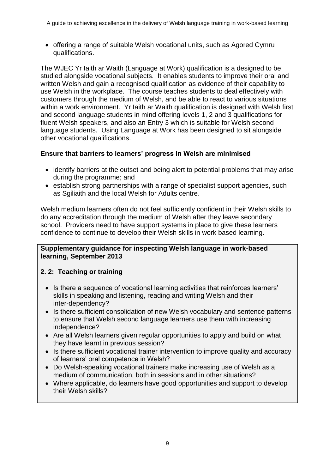• offering a range of suitable Welsh vocational units, such as Agored Cymru qualifications.

The WJEC Yr Iaith ar Waith (Language at Work) qualification is a designed to be studied alongside vocational subjects. It enables students to improve their oral and written Welsh and gain a recognised qualification as evidence of their capability to use Welsh in the workplace. The course teaches students to deal effectively with customers through the medium of Welsh, and be able to react to various situations within a work environment. Yr Iaith ar Waith qualification is designed with Welsh first and second language students in mind offering levels 1, 2 and 3 qualifications for fluent Welsh speakers, and also an Entry 3 which is suitable for Welsh second language students. Using Language at Work has been designed to sit alongside other vocational qualifications.

# **Ensure that barriers to learners' progress in Welsh are minimised**

- identify barriers at the outset and being alert to potential problems that may arise during the programme; and
- establish strong partnerships with a range of specialist support agencies, such as Sgiliaith and the local Welsh for Adults centre.

Welsh medium learners often do not feel sufficiently confident in their Welsh skills to do any accreditation through the medium of Welsh after they leave secondary school. Providers need to have support systems in place to give these learners confidence to continue to develop their Welsh skills in work based learning.

### **Supplementary guidance for inspecting Welsh language in work-based learning, September 2013**

# **2. 2: Teaching or training**

- Is there a sequence of vocational learning activities that reinforces learners' skills in speaking and listening, reading and writing Welsh and their inter-dependency?
- Is there sufficient consolidation of new Welsh vocabulary and sentence patterns to ensure that Welsh second language learners use them with increasing independence?
- Are all Welsh learners given regular opportunities to apply and build on what they have learnt in previous session?
- Is there sufficient vocational trainer intervention to improve quality and accuracy of learners' oral competence in Welsh?
- Do Welsh-speaking vocational trainers make increasing use of Welsh as a medium of communication, both in sessions and in other situations?
- Where applicable, do learners have good opportunities and support to develop their Welsh skills?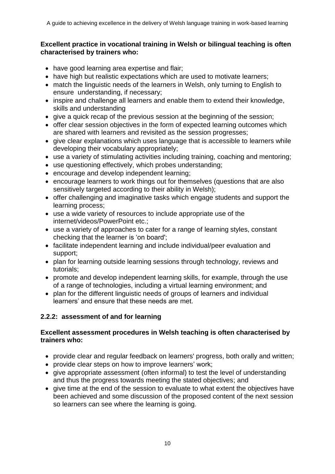#### **Excellent practice in vocational training in Welsh or bilingual teaching is often characterised by trainers who:**

- have good learning area expertise and flair;
- have high but realistic expectations which are used to motivate learners;
- match the linguistic needs of the learners in Welsh, only turning to English to ensure understanding, if necessary;
- inspire and challenge all learners and enable them to extend their knowledge, skills and understanding
- give a quick recap of the previous session at the beginning of the session;
- offer clear session objectives in the form of expected learning outcomes which are shared with learners and revisited as the session progresses;
- give clear explanations which uses language that is accessible to learners while developing their vocabulary appropriately;
- use a variety of stimulating activities including training, coaching and mentoring;
- use questioning effectively, which probes understanding;
- encourage and develop independent learning;
- encourage learners to work things out for themselves (questions that are also sensitively targeted according to their ability in Welsh);
- offer challenging and imaginative tasks which engage students and support the learning process;
- use a wide variety of resources to include appropriate use of the internet/videos/PowerPoint etc.;
- use a variety of approaches to cater for a range of learning styles, constant checking that the learner is 'on board';
- facilitate independent learning and include individual/peer evaluation and support;
- plan for learning outside learning sessions through technology, reviews and tutorials;
- promote and develop independent learning skills, for example, through the use of a range of technologies, including a virtual learning environment; and
- plan for the different linguistic needs of groups of learners and individual learners' and ensure that these needs are met.

# **2.2.2: assessment of and for learning**

### **Excellent assessment procedures in Welsh teaching is often characterised by trainers who:**

- provide clear and regular feedback on learners' progress, both orally and written;
- provide clear steps on how to improve learners' work;
- give appropriate assessment (often informal) to test the level of understanding and thus the progress towards meeting the stated objectives; and
- give time at the end of the session to evaluate to what extent the objectives have been achieved and some discussion of the proposed content of the next session so learners can see where the learning is going.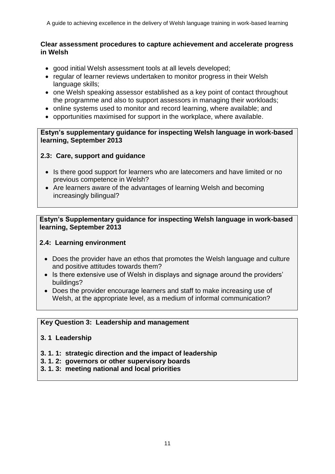#### **Clear assessment procedures to capture achievement and accelerate progress in Welsh**

- good initial Welsh assessment tools at all levels developed;
- regular of learner reviews undertaken to monitor progress in their Welsh language skills;
- one Welsh speaking assessor established as a key point of contact throughout the programme and also to support assessors in managing their workloads;
- online systems used to monitor and record learning, where available; and
- opportunities maximised for support in the workplace, where available.

#### **Estyn's supplementary guidance for inspecting Welsh language in work-based learning, September 2013**

# **2.3: Care, support and guidance**

- Is there good support for learners who are latecomers and have limited or no previous competence in Welsh?
- Are learners aware of the advantages of learning Welsh and becoming increasingly bilingual?

**Estyn's Supplementary guidance for inspecting Welsh language in work-based learning, September 2013**

# **2.4: Learning environment**

- Does the provider have an ethos that promotes the Welsh language and culture and positive attitudes towards them?
- Is there extensive use of Welsh in displays and signage around the providers' buildings?
- Does the provider encourage learners and staff to make increasing use of Welsh, at the appropriate level, as a medium of informal communication?

#### **Key Question 3: Leadership and management**

- **3. 1 Leadership**
- **3. 1. 1: strategic direction and the impact of leadership**
- **3. 1. 2: governors or other supervisory boards**
- **3. 1. 3: meeting national and local priorities**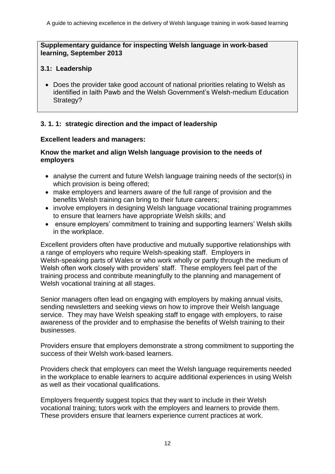#### **Supplementary guidance for inspecting Welsh language in work-based learning, September 2013**

# **3.1: Leadership**

 Does the provider take good account of national priorities relating to Welsh as identified in Iaith Pawb and the Welsh Government's Welsh-medium Education Strategy?

# **3. 1. 1: strategic direction and the impact of leadership**

### **Excellent leaders and managers:**

## **Know the market and align Welsh language provision to the needs of employers**

- analyse the current and future Welsh language training needs of the sector(s) in which provision is being offered;
- make employers and learners aware of the full range of provision and the benefits Welsh training can bring to their future careers;
- involve employers in designing Welsh language vocational training programmes to ensure that learners have appropriate Welsh skills; and
- ensure employers' commitment to training and supporting learners' Welsh skills in the workplace.

Excellent providers often have productive and mutually supportive relationships with a range of employers who require Welsh-speaking staff. Employers in Welsh-speaking parts of Wales or who work wholly or partly through the medium of Welsh often work closely with providers' staff. These employers feel part of the training process and contribute meaningfully to the planning and management of Welsh vocational training at all stages.

Senior managers often lead on engaging with employers by making annual visits, sending newsletters and seeking views on how to improve their Welsh language service. They may have Welsh speaking staff to engage with employers, to raise awareness of the provider and to emphasise the benefits of Welsh training to their businesses.

Providers ensure that employers demonstrate a strong commitment to supporting the success of their Welsh work-based learners.

Providers check that employers can meet the Welsh language requirements needed in the workplace to enable learners to acquire additional experiences in using Welsh as well as their vocational qualifications.

Employers frequently suggest topics that they want to include in their Welsh vocational training; tutors work with the employers and learners to provide them. These providers ensure that learners experience current practices at work.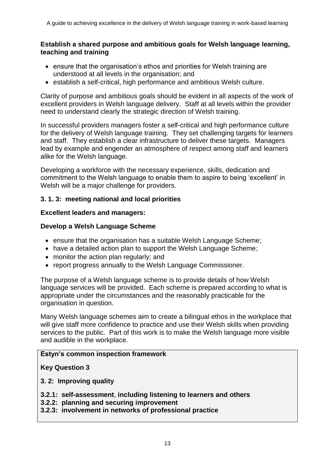#### **Establish a shared purpose and ambitious goals for Welsh language learning, teaching and training**

- ensure that the organisation's ethos and priorities for Welsh training are understood at all levels in the organisation; and
- establish a self-critical, high performance and ambitious Welsh culture.

Clarity of purpose and ambitious goals should be evident in all aspects of the work of excellent providers in Welsh language delivery. Staff at all levels within the provider need to understand clearly the strategic direction of Welsh training.

In successful providers managers foster a self-critical and high performance culture for the delivery of Welsh language training. They set challenging targets for learners and staff. They establish a clear infrastructure to deliver these targets. Managers lead by example and engender an atmosphere of respect among staff and learners alike for the Welsh language.

Developing a workforce with the necessary experience, skills, dedication and commitment to the Welsh language to enable them to aspire to being 'excellent' in Welsh will be a major challenge for providers.

# **3. 1. 3: meeting national and local priorities**

#### **Excellent leaders and managers:**

### **Develop a Welsh Language Scheme**

- ensure that the organisation has a suitable Welsh Language Scheme;
- have a detailed action plan to support the Welsh Language Scheme;
- monitor the action plan regularly; and
- report progress annually to the Welsh Language Commissioner.

The purpose of a Welsh language scheme is to provide details of how Welsh language services will be provided. Each scheme is prepared according to what is appropriate under the circumstances and the reasonably practicable for the organisation in question.

Many Welsh language schemes aim to create a bilingual ethos in the workplace that will give staff more confidence to practice and use their Welsh skills when providing services to the public. Part of this work is to make the Welsh language more visible and audible in the workplace.

#### **Estyn's common inspection framework**

**Key Question 3**

- **3. 2: Improving quality**
- **3.2.1: self-assessment, including listening to learners and others**
- **3.2.2: planning and securing improvement**
- **3.2.3: involvement in networks of professional practice**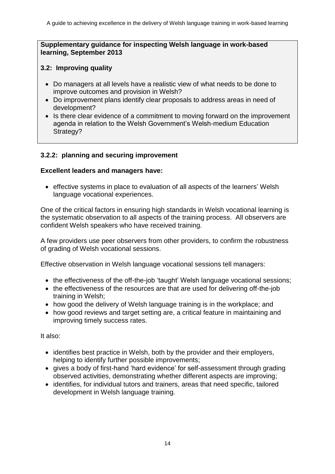#### **Supplementary guidance for inspecting Welsh language in work-based learning, September 2013**

# **3.2: Improving quality**

- Do managers at all levels have a realistic view of what needs to be done to improve outcomes and provision in Welsh?
- Do improvement plans identify clear proposals to address areas in need of development?
- Is there clear evidence of a commitment to moving forward on the improvement agenda in relation to the Welsh Government's Welsh-medium Education Strategy?

# **3.2.2: planning and securing improvement**

# **Excellent leaders and managers have:**

• effective systems in place to evaluation of all aspects of the learners' Welsh language vocational experiences.

One of the critical factors in ensuring high standards in Welsh vocational learning is the systematic observation to all aspects of the training process. All observers are confident Welsh speakers who have received training.

A few providers use peer observers from other providers, to confirm the robustness of grading of Welsh vocational sessions.

Effective observation in Welsh language vocational sessions tell managers:

- the effectiveness of the off-the-job 'taught' Welsh language vocational sessions;
- the effectiveness of the resources are that are used for delivering off-the-job training in Welsh;
- how good the delivery of Welsh language training is in the workplace; and
- how good reviews and target setting are, a critical feature in maintaining and improving timely success rates.

It also:

- identifies best practice in Welsh, both by the provider and their employers, helping to identify further possible improvements;
- gives a body of first-hand 'hard evidence' for self-assessment through grading observed activities, demonstrating whether different aspects are improving;
- identifies, for individual tutors and trainers, areas that need specific, tailored development in Welsh language training.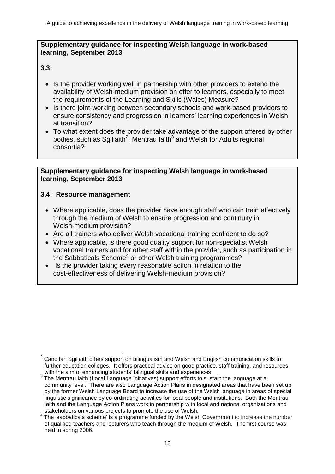#### **Supplementary guidance for inspecting Welsh language in work-based learning, September 2013**

# **3.3:**

- Is the provider working well in partnership with other providers to extend the availability of Welsh-medium provision on offer to learners, especially to meet the requirements of the Learning and Skills (Wales) Measure?
- Is there joint-working between secondary schools and work-based providers to ensure consistency and progression in learners' learning experiences in Welsh at transition?
- To what extent does the provider take advantage of the support offered by other bodies, such as Sgiliaith<sup>2</sup>, Mentrau laith<sup>3</sup> and Welsh for Adults regional consortia?

#### **Supplementary guidance for inspecting Welsh language in work-based learning, September 2013**

# **3.4: Resource management**

- Where applicable, does the provider have enough staff who can train effectively through the medium of Welsh to ensure progression and continuity in Welsh-medium provision?
- Are all trainers who deliver Welsh vocational training confident to do so?
- Where applicable, is there good quality support for non-specialist Welsh vocational trainers and for other staff within the provider, such as participation in the Sabbaticals Scheme<sup>4</sup> or other Welsh training programmes?
- Is the provider taking every reasonable action in relation to the cost-effectiveness of delivering Welsh-medium provision?

 $\overline{\phantom{a}}$  $2$  Canolfan Sgiliaith offers support on bilingualism and Welsh and English communication skills to further education colleges. It offers practical advice on good practice, staff training, and resources, with the aim of enhancing students' bilingual skills and experiences.

 $3$  The Mentrau laith (Local Language Initiatives) support efforts to sustain the language at a community level. There are also Language Action Plans in designated areas that have been set up by the former Welsh Language Board to increase the use of the Welsh language in areas of special linguistic significance by co-ordinating activities for local people and institutions. Both the Mentrau Iaith and the Language Action Plans work in partnership with local and national organisations and stakeholders on various projects to promote the use of Welsh.

 $4$  The 'sabbaticals scheme' is a programme funded by the Welsh Government to increase the number of qualified teachers and lecturers who teach through the medium of Welsh. The first course was held in spring 2006.